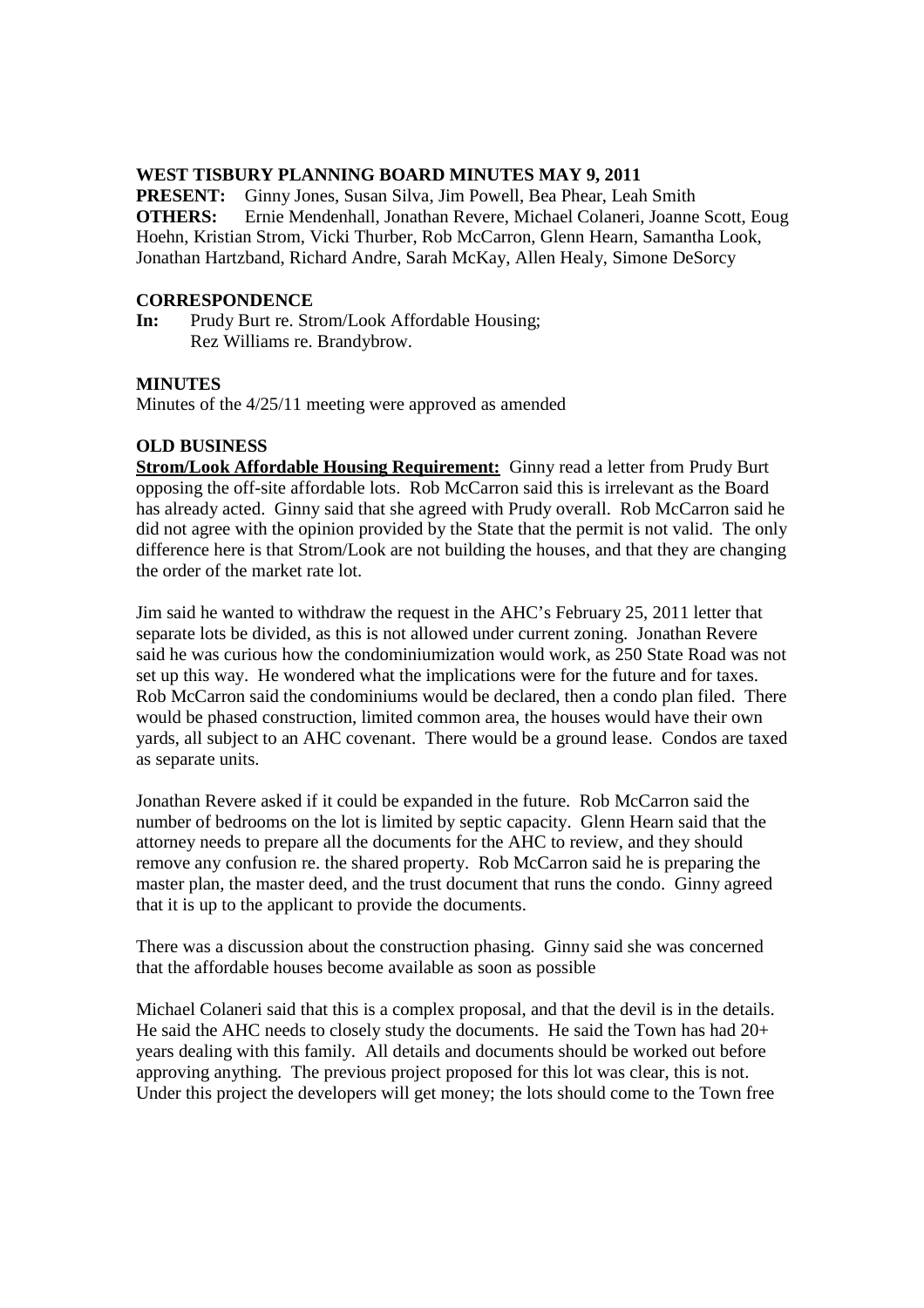#### **WEST TISBURY PLANNING BOARD MINUTES MAY 9, 2011**

**PRESENT:** Ginny Jones, Susan Silva, Jim Powell, Bea Phear, Leah Smith **OTHERS:** Ernie Mendenhall, Jonathan Revere, Michael Colaneri, Joanne Scott, Eoug Hoehn, Kristian Strom, Vicki Thurber, Rob McCarron, Glenn Hearn, Samantha Look, Jonathan Hartzband, Richard Andre, Sarah McKay, Allen Healy, Simone DeSorcy

## **CORRESPONDENCE**

**In:** Prudy Burt re. Strom/Look Affordable Housing; Rez Williams re. Brandybrow.

## **MINUTES**

Minutes of the 4/25/11 meeting were approved as amended

#### **OLD BUSINESS**

**Strom/Look Affordable Housing Requirement:** Ginny read a letter from Prudy Burt opposing the off-site affordable lots. Rob McCarron said this is irrelevant as the Board has already acted. Ginny said that she agreed with Prudy overall. Rob McCarron said he did not agree with the opinion provided by the State that the permit is not valid. The only difference here is that Strom/Look are not building the houses, and that they are changing the order of the market rate lot.

Jim said he wanted to withdraw the request in the AHC's February 25, 2011 letter that separate lots be divided, as this is not allowed under current zoning. Jonathan Revere said he was curious how the condominiumization would work, as 250 State Road was not set up this way. He wondered what the implications were for the future and for taxes. Rob McCarron said the condominiums would be declared, then a condo plan filed. There would be phased construction, limited common area, the houses would have their own yards, all subject to an AHC covenant. There would be a ground lease. Condos are taxed as separate units.

Jonathan Revere asked if it could be expanded in the future. Rob McCarron said the number of bedrooms on the lot is limited by septic capacity. Glenn Hearn said that the attorney needs to prepare all the documents for the AHC to review, and they should remove any confusion re. the shared property. Rob McCarron said he is preparing the master plan, the master deed, and the trust document that runs the condo. Ginny agreed that it is up to the applicant to provide the documents.

There was a discussion about the construction phasing. Ginny said she was concerned that the affordable houses become available as soon as possible

Michael Colaneri said that this is a complex proposal, and that the devil is in the details. He said the AHC needs to closely study the documents. He said the Town has had 20+ years dealing with this family. All details and documents should be worked out before approving anything. The previous project proposed for this lot was clear, this is not. Under this project the developers will get money; the lots should come to the Town free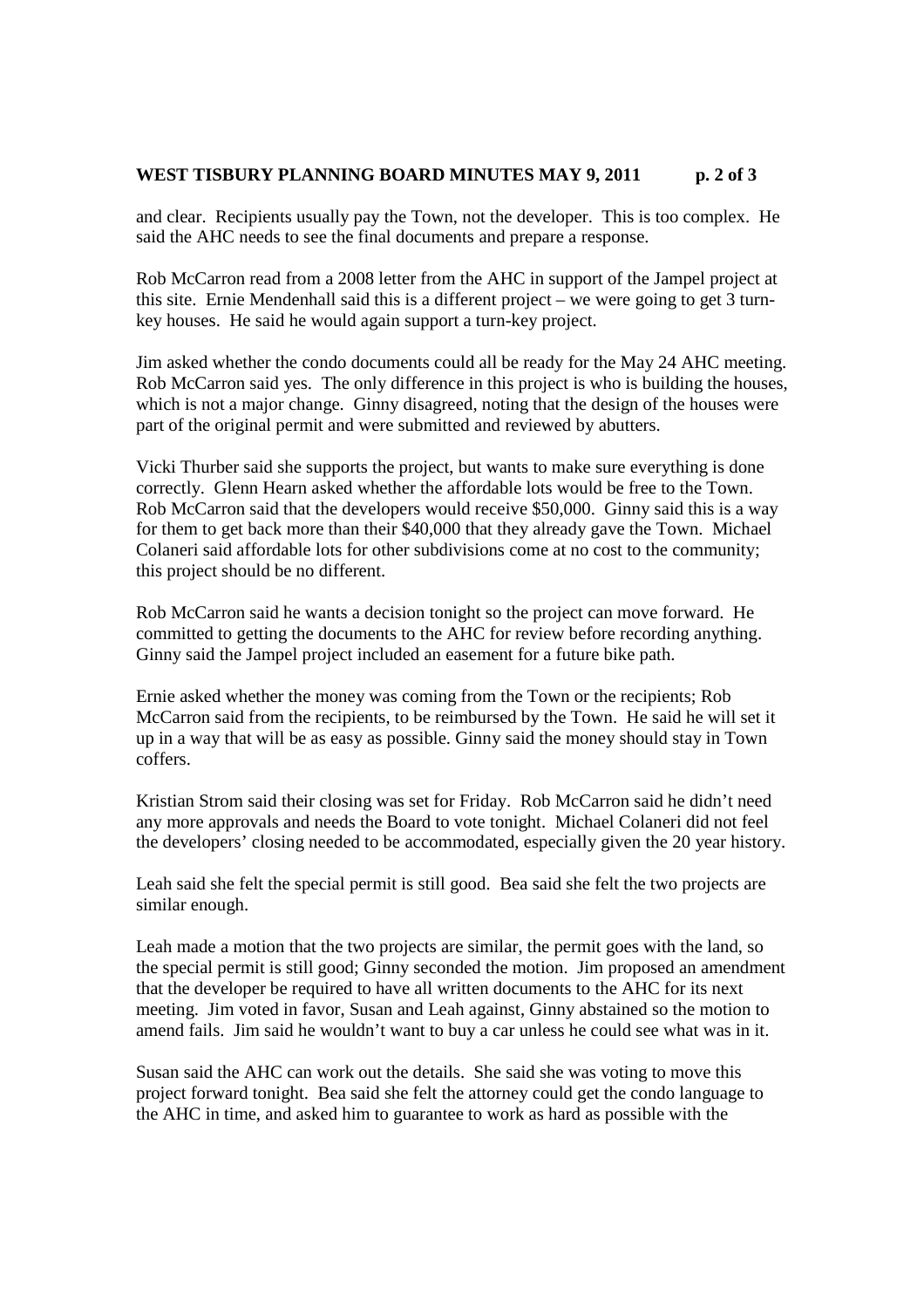### WEST TISBURY PLANNING BOARD MINUTES MAY 9, 2011 p. 2 of 3

and clear. Recipients usually pay the Town, not the developer. This is too complex. He said the AHC needs to see the final documents and prepare a response.

Rob McCarron read from a 2008 letter from the AHC in support of the Jampel project at this site. Ernie Mendenhall said this is a different project – we were going to get 3 turnkey houses. He said he would again support a turn-key project.

Jim asked whether the condo documents could all be ready for the May 24 AHC meeting. Rob McCarron said yes. The only difference in this project is who is building the houses, which is not a major change. Ginny disagreed, noting that the design of the houses were part of the original permit and were submitted and reviewed by abutters.

Vicki Thurber said she supports the project, but wants to make sure everything is done correctly. Glenn Hearn asked whether the affordable lots would be free to the Town. Rob McCarron said that the developers would receive \$50,000. Ginny said this is a way for them to get back more than their \$40,000 that they already gave the Town. Michael Colaneri said affordable lots for other subdivisions come at no cost to the community; this project should be no different.

Rob McCarron said he wants a decision tonight so the project can move forward. He committed to getting the documents to the AHC for review before recording anything. Ginny said the Jampel project included an easement for a future bike path.

Ernie asked whether the money was coming from the Town or the recipients; Rob McCarron said from the recipients, to be reimbursed by the Town. He said he will set it up in a way that will be as easy as possible. Ginny said the money should stay in Town coffers.

Kristian Strom said their closing was set for Friday. Rob McCarron said he didn't need any more approvals and needs the Board to vote tonight. Michael Colaneri did not feel the developers' closing needed to be accommodated, especially given the 20 year history.

Leah said she felt the special permit is still good. Bea said she felt the two projects are similar enough.

Leah made a motion that the two projects are similar, the permit goes with the land, so the special permit is still good; Ginny seconded the motion. Jim proposed an amendment that the developer be required to have all written documents to the AHC for its next meeting. Jim voted in favor, Susan and Leah against, Ginny abstained so the motion to amend fails. Jim said he wouldn't want to buy a car unless he could see what was in it.

Susan said the AHC can work out the details. She said she was voting to move this project forward tonight. Bea said she felt the attorney could get the condo language to the AHC in time, and asked him to guarantee to work as hard as possible with the